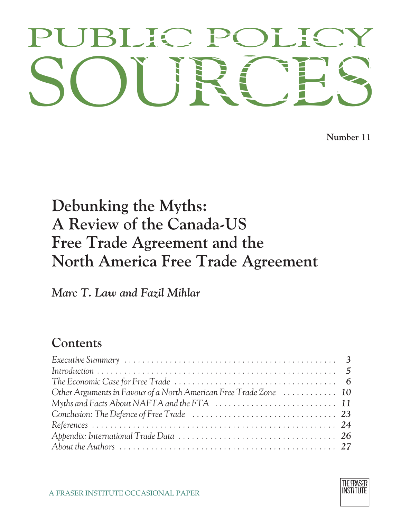# PUBLIC POLICY<br>SOURCES PUBLIC POLICY

**Number 11**

## **Debunking the Myths: A Review of the Canada-US Free Trade Agreement and the North America Free Trade Agreement**

*Marc T. Law and Fazil Mihlar*

### **Contents**

| Other Arguments in Favour of a North American Free Trade Zone  10 |  |
|-------------------------------------------------------------------|--|
|                                                                   |  |
|                                                                   |  |
|                                                                   |  |
|                                                                   |  |
|                                                                   |  |

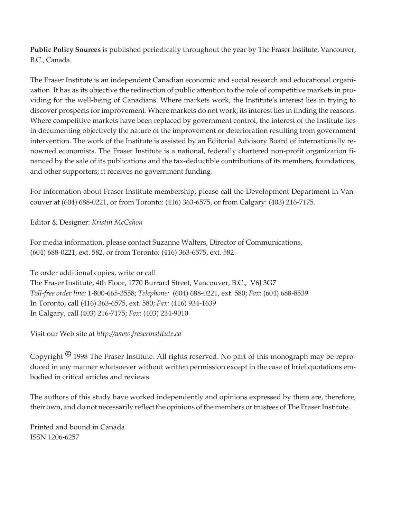**Public Policy Sources** is published periodically throughout the year by The Fraser Institute, Vancouver, B.C., Canada.

The Fraser Institute is an independent Canadian economic and social research and educational organization. It has as its objective the redirection of public attention to the role of competitive markets in providing for the well-being of Canadians. Where markets work, the Institute's interest lies in trying to discover prospects for improvement. Where markets do not work, its interest lies in finding the reasons. Where competitive markets have been replaced by government control, the interest of the Institute lies in documenting objectively the nature of the improvement or deterioration resulting from government intervention. The work of the Institute is assisted by an Editorial Advisory Board of internationally renowned economists. The Fraser Institute is a national, federally chartered non-profit organization financed by the sale of its publications and the tax-deductible contributions of its members, foundations, and other supporters; it receives no government funding.

For information about Fraser Institute membership, please call the Development Department in Vancouver at (604) 688-0221, or from Toronto: (416) 363-6575, or from Calgary: (403) 216-7175.

Editor & Designer: *Kristin McCahon*

For media information, please contact Suzanne Walters, Director of Communications, (604) 688-0221, ext. 582, or from Toronto: (416) 363-6575, ext. 582.

To order additional copies, write or call The Fraser Institute, 4th Floor, 1770 Burrard Street, Vancouver, B.C., V6J 3G7 *Toll-free order line:* 1-800-665-3558; *Telephone:* (604) 688-0221, ext. 580; *Fax*: (604) 688-8539 In Toronto, call (416) 363-6575, ext. 580; *Fax:* (416) 934-1639 In Calgary, call (403) 216-7175; *Fax*: (403) 234-9010

Visit our Web site at *http://www.fraserinstitute.ca*

Copyright *8* 1998 The Fraser Institute. All rights reserved. No part of this monograph may be reproduced in any manner whatsoever without written permission except in the case of brief quotations embodied in critical articles and reviews.

The authors of this study have worked independently and opinions expressed by them are, therefore, their own, and do not necessarily reflect the opinions of the members or trustees of The Fraser Institute.

Printed and bound in Canada. ISSN 1206-6257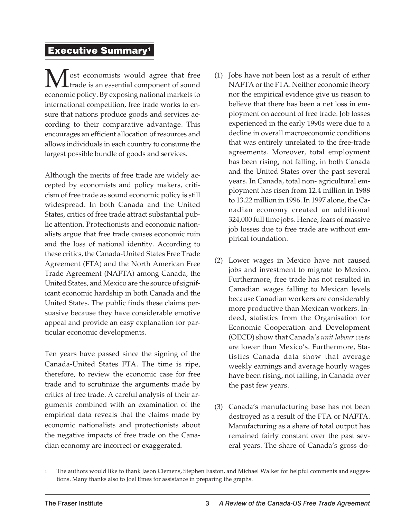#### **Executive Summary1**

**M** ost economists would agree that free<br>example is an essential component of sound trade is an essential component of sound economic policy. By exposing national markets to international competition, free trade works to ensure that nations produce goods and services according to their comparative advantage. This encourages an efficient allocation of resources and allows individuals in each country to consume the largest possible bundle of goods and services.

Although the merits of free trade are widely accepted by economists and policy makers, criticism of free trade as sound economic policy is still widespread. In both Canada and the United States, critics of free trade attract substantial public attention. Protectionists and economic nationalists argue that free trade causes economic ruin and the loss of national identity. According to these critics, the Canada-United States Free Trade Agreement (FTA) and the North American Free Trade Agreement (NAFTA) among Canada, the United States, and Mexico are the source of significant economic hardship in both Canada and the United States. The public finds these claims persuasive because they have considerable emotive appeal and provide an easy explanation for particular economic developments.

Ten years have passed since the signing of the Canada-United States FTA. The time is ripe, therefore, to review the economic case for free trade and to scrutinize the arguments made by critics of free trade. A careful analysis of their arguments combined with an examination of the empirical data reveals that the claims made by economic nationalists and protectionists about the negative impacts of free trade on the Canadian economy are incorrect or exaggerated.

- (1) Jobs have not been lost as a result of either NAFTA or the FTA. Neither economic theory nor the empirical evidence give us reason to believe that there has been a net loss in employment on account of free trade. Job losses experienced in the early 1990s were due to a decline in overall macroeconomic conditions that was entirely unrelated to the free-trade agreements. Moreover, total employment has been rising, not falling, in both Canada and the United States over the past several years. In Canada, total non- agricultural employment has risen from 12.4 million in 1988 to 13.22 million in 1996. In 1997 alone, the Canadian economy created an additional 324,000 full time jobs. Hence, fears of massive job losses due to free trade are without empirical foundation.
- (2) Lower wages in Mexico have not caused jobs and investment to migrate to Mexico. Furthermore, free trade has not resulted in Canadian wages falling to Mexican levels because Canadian workers are considerably more productive than Mexican workers. Indeed, statistics from the Organisation for Economic Cooperation and Development (OECD) show that Canada's *unit labour costs* are lower than Mexico's. Furthermore, Statistics Canada data show that average weekly earnings and average hourly wages have been rising, not falling, in Canada over the past few years.
- (3) Canada's manufacturing base has not been destroyed as a result of the FTA or NAFTA. Manufacturing as a share of total output has remained fairly constant over the past several years. The share of Canada's gross do-

<sup>1</sup> The authors would like to thank Jason Clemens, Stephen Easton, and Michael Walker for helpful comments and suggestions. Many thanks also to Joel Emes for assistance in preparing the graphs.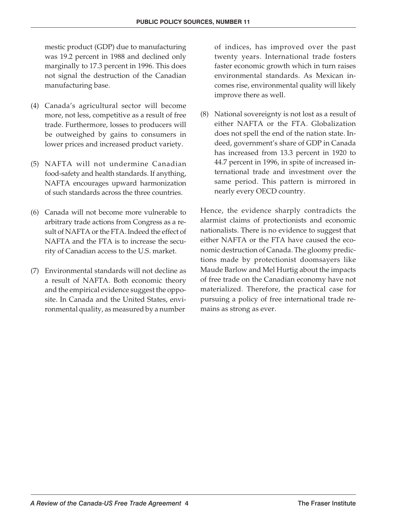mestic product (GDP) due to manufacturing was 19.2 percent in 1988 and declined only marginally to 17.3 percent in 1996. This does not signal the destruction of the Canadian manufacturing base.

- (4) Canada's agricultural sector will become more, not less, competitive as a result of free trade. Furthermore, losses to producers will be outweighed by gains to consumers in lower prices and increased product variety.
- (5) NAFTA will not undermine Canadian food-safety and health standards. If anything, NAFTA encourages upward harmonization of such standards across the three countries.
- (6) Canada will not become more vulnerable to arbitrary trade actions from Congress as a result of NAFTA or the FTA. Indeed the effect of NAFTA and the FTA is to increase the security of Canadian access to the U.S. market.
- (7) Environmental standards will not decline as a result of NAFTA. Both economic theory and the empirical evidence suggest the opposite. In Canada and the United States, environmental quality, as measured by a number

of indices, has improved over the past twenty years. International trade fosters faster economic growth which in turn raises environmental standards. As Mexican incomes rise, environmental quality will likely improve there as well.

(8) National sovereignty is not lost as a result of either NAFTA or the FTA. Globalization does not spell the end of the nation state. Indeed, government's share of GDP in Canada has increased from 13.3 percent in 1920 to 44.7 percent in 1996, in spite of increased international trade and investment over the same period. This pattern is mirrored in nearly every OECD country.

Hence, the evidence sharply contradicts the alarmist claims of protectionists and economic nationalists. There is no evidence to suggest that either NAFTA or the FTA have caused the economic destruction of Canada. The gloomy predictions made by protectionist doomsayers like Maude Barlow and Mel Hurtig about the impacts of free trade on the Canadian economy have not materialized. Therefore, the practical case for pursuing a policy of free international trade remains as strong as ever.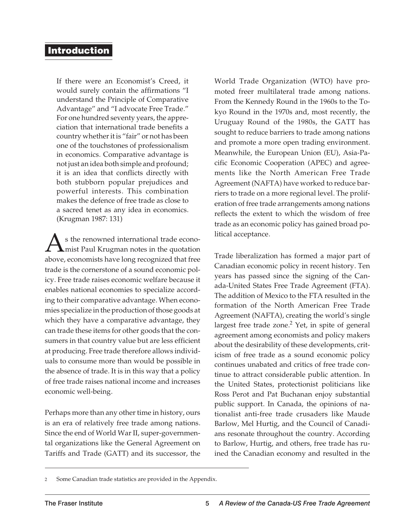#### **Introduction**

If there were an Economist's Creed, it would surely contain the affirmations "I understand the Principle of Comparative Advantage" and "I advocate Free Trade." For one hundred seventy years, the appreciation that international trade benefits a country whether it is "fair" or not has been one of the touchstones of professionalism in economics. Comparative advantage is not just an idea both simple and profound; it is an idea that conflicts directly with both stubborn popular prejudices and powerful interests. This combination makes the defence of free trade as close to a sacred tenet as any idea in economics. (Krugman 1987: 131)

 $\sum$ s the renowned international trade econo-<br>shows assessmith have largeresseries that free mist Paul Krugman notes in the quotation above, economists have long recognized that free trade is the cornerstone of a sound economic policy. Free trade raises economic welfare because it enables national economies to specialize according to their comparative advantage. When economies specialize in the production of those goods at which they have a comparative advantage, they can trade these items for other goods that the consumers in that country value but are less efficient at producing. Free trade therefore allows individuals to consume more than would be possible in the absence of trade. It is in this way that a policy of free trade raises national income and increases economic well-being.

Perhaps more than any other time in history, ours is an era of relatively free trade among nations. Since the end of World War II, super-governmental organizations like the General Agreement on Tariffs and Trade (GATT) and its successor, the

World Trade Organization (WTO) have promoted freer multilateral trade among nations. From the Kennedy Round in the 1960s to the Tokyo Round in the 1970s and, most recently, the Uruguay Round of the 1980s, the GATT has sought to reduce barriers to trade among nations and promote a more open trading environment. Meanwhile, the European Union (EU), Asia-Pacific Economic Cooperation (APEC) and agreements like the North American Free Trade Agreement (NAFTA) have worked to reduce barriers to trade on a more regional level. The proliferation of free trade arrangements among nations reflects the extent to which the wisdom of free trade as an economic policy has gained broad political acceptance.

Trade liberalization has formed a major part of Canadian economic policy in recent history. Ten years has passed since the signing of the Canada-United States Free Trade Agreement (FTA). The addition of Mexico to the FTA resulted in the formation of the North American Free Trade Agreement (NAFTA), creating the world's single largest free trade zone. $2$  Yet, in spite of general agreement among economists and policy makers about the desirability of these developments, criticism of free trade as a sound economic policy continues unabated and critics of free trade continue to attract considerable public attention. In the United States, protectionist politicians like Ross Perot and Pat Buchanan enjoy substantial public support. In Canada, the opinions of nationalist anti-free trade crusaders like Maude Barlow, Mel Hurtig, and the Council of Canadians resonate throughout the country. According to Barlow, Hurtig, and others, free trade has ruined the Canadian economy and resulted in the

Some Canadian trade statistics are provided in the Appendix.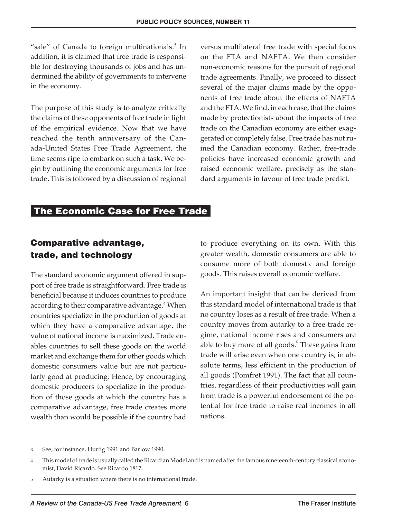"sale" of Canada to foreign multinationals.<sup>3</sup> In addition, it is claimed that free trade is responsible for destroying thousands of jobs and has undermined the ability of governments to intervene in the economy.

The purpose of this study is to analyze critically the claims of these opponents of free trade in light of the empirical evidence. Now that we have reached the tenth anniversary of the Canada-United States Free Trade Agreement, the time seems ripe to embark on such a task. We begin by outlining the economic arguments for free trade. This is followed by a discussion of regional

versus multilateral free trade with special focus on the FTA and NAFTA. We then consider non-economic reasons for the pursuit of regional trade agreements. Finally, we proceed to dissect several of the major claims made by the opponents of free trade about the effects of NAFTA and the FTA. We find, in each case, that the claims made by protectionists about the impacts of free trade on the Canadian economy are either exaggerated or completely false. Free trade has not ruined the Canadian economy. Rather, free-trade policies have increased economic growth and raised economic welfare, precisely as the standard arguments in favour of free trade predict.

#### **The Economic Case for Free Trade**

#### **Comparative advantage, trade, and technology**

The standard economic argument offered in support of free trade is straightforward. Free trade is beneficial because it induces countries to produce according to their comparative advantage.<sup>4</sup> When countries specialize in the production of goods at which they have a comparative advantage, the value of national income is maximized. Trade enables countries to sell these goods on the world market and exchange them for other goods which domestic consumers value but are not particularly good at producing. Hence, by encouraging domestic producers to specialize in the production of those goods at which the country has a comparative advantage, free trade creates more wealth than would be possible if the country had

to produce everything on its own. With this greater wealth, domestic consumers are able to consume more of both domestic and foreign goods. This raises overall economic welfare.

An important insight that can be derived from this standard model of international trade is that no country loses as a result of free trade. When a country moves from autarky to a free trade regime, national income rises and consumers are able to buy more of all goods. $5$  These gains from trade will arise even when one country is, in absolute terms, less efficient in the production of all goods (Pomfret 1991). The fact that all countries, regardless of their productivities will gain from trade is a powerful endorsement of the potential for free trade to raise real incomes in all nations.

<sup>3</sup> See, for instance, Hurtig 1991 and Barlow 1990.

<sup>4</sup> This model of trade is usually called the Ricardian Model and is named after the famous nineteenth-century classical economist, David Ricardo. See Ricardo 1817.

<sup>5</sup> Autarky is a situation where there is no international trade.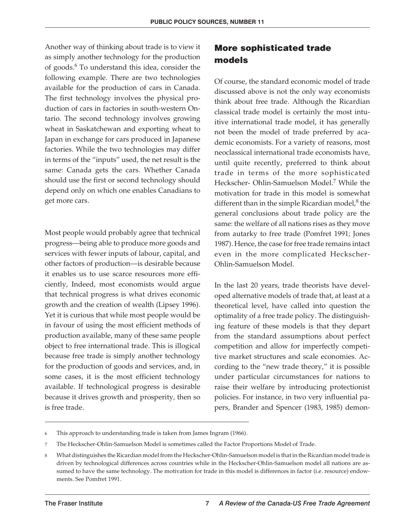Another way of thinking about trade is to view it as simply another technology for the production of goods.<sup>6</sup> To understand this idea, consider the following example. There are two technologies available for the production of cars in Canada. The first technology involves the physical production of cars in factories in south-western Ontario. The second technology involves growing wheat in Saskatchewan and exporting wheat to Japan in exchange for cars produced in Japanese factories. While the two technologies may differ in terms of the "inputs" used, the net result is the same: Canada gets the cars. Whether Canada should use the first or second technology should depend only on which one enables Canadians to get more cars.

Most people would probably agree that technical progress—being able to produce more goods and services with fewer inputs of labour, capital, and other factors of production—is desirable because it enables us to use scarce resources more efficiently, Indeed, most economists would argue that technical progress is what drives economic growth and the creation of wealth (Lipsey 1996). Yet it is curious that while most people would be in favour of using the most efficient methods of production available, many of these same people object to free international trade. This is illogical because free trade is simply another technology for the production of goods and services, and, in some cases, it is the most efficient technology available. If technological progress is desirable because it drives growth and prosperity, then so is free trade.

#### **More sophisticated trade models**

Of course, the standard economic model of trade discussed above is not the only way economists think about free trade. Although the Ricardian classical trade model is certainly the most intuitive international trade model, it has generally not been the model of trade preferred by academic economists. For a variety of reasons, most neoclassical international trade economists have, until quite recently, preferred to think about trade in terms of the more sophisticated Heckscher- Ohlin-Samuelson Model.<sup>7</sup> While the motivation for trade in this model is somewhat different than in the simple Ricardian model, $^8$  the general conclusions about trade policy are the same: the welfare of all nations rises as they move from autarky to free trade (Pomfret 1991; Jones 1987). Hence, the case for free trade remains intact even in the more complicated Heckscher-Ohlin-Samuelson Model.

In the last 20 years, trade theorists have developed alternative models of trade that, at least at a theoretical level, have called into question the optimality of a free trade policy. The distinguishing feature of these models is that they depart from the standard assumptions about perfect competition and allow for imperfectly competitive market structures and scale economies. According to the "new trade theory," it is possible under particular circumstances for nations to raise their welfare by introducing protectionist policies. For instance, in two very influential papers, Brander and Spencer (1983, 1985) demon-

<sup>6</sup> This approach to understanding trade is taken from James Ingram (1966).

<sup>7</sup> The Heckscher-Ohlin-Samuelson Model is sometimes called the Factor Proportions Model of Trade.

<sup>8</sup> What distinguishes the Ricardian model from the Heckscher-Ohlin-Samuelson model is that in the Ricardian model trade is driven by technological differences across countries while in the Heckscher-Ohlin-Samuelson model all nations are assumed to have the same technology. The motivation for trade in this model is differences in factor (i.e. resource) endowments. See Pomfret 1991.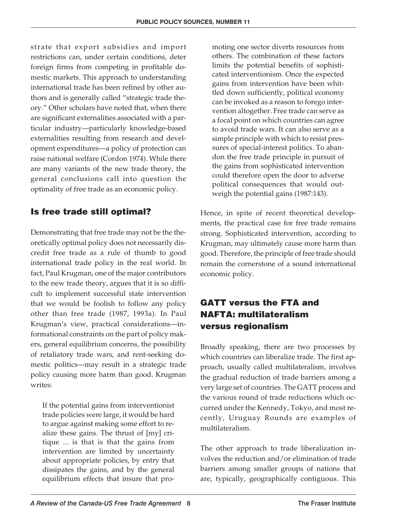strate that export subsidies and import restrictions can, under certain conditions, deter foreign firms from competing in profitable domestic markets. This approach to understanding international trade has been refined by other authors and is generally called "strategic trade theory." Other scholars have noted that, when there are significant externalities associated with a particular industry—particularly knowledge-based externalities resulting from research and development expenditures—a policy of protection can raise national welfare (Cordon 1974). While there are many variants of the new trade theory, the general conclusions call into question the optimality of free trade as an economic policy.

#### **Is free trade still optimal?**

Demonstrating that free trade may not be the theoretically optimal policy does not necessarily discredit free trade as a rule of thumb to good international trade policy in the real world. In fact, Paul Krugman, one of the major contributors to the new trade theory, argues that it is so difficult to implement successful state intervention that we would be foolish to follow any policy other than free trade (1987, 1993a). In Paul Krugman's view, practical considerations—informational constraints on the part of policy makers, general equilibrium concerns, the possibility of retaliatory trade wars, and rent-seeking domestic politics—may result in a strategic trade policy causing more harm than good. Krugman writes:

If the potential gains from interventionist trade policies were large, it would be hard to argue against making some effort to realize these gains. The thrust of [my] critique ... is that is that the gains from intervention are limited by uncertainty about appropriate policies, by entry that dissipates the gains, and by the general equilibrium effects that insure that promoting one sector diverts resources from others. The combination of these factors limits the potential benefits of sophisticated interventionism. Once the expected gains from intervention have been whittled down sufficiently, political economy can be invoked as a reason to forego intervention altogether. Free trade can serve as a focal point on which countries can agree to avoid trade wars. It can also serve as a simple principle with which to resist pressures of special-interest politics. To abandon the free trade principle in pursuit of the gains from sophisticated intervention could therefore open the door to adverse political consequences that would outweigh the potential gains (1987:143).

Hence, in spite of recent theoretical developments, the practical case for free trade remains strong. Sophisticated intervention, according to Krugman, may ultimately cause more harm than good. Therefore, the principle of free trade should remain the cornerstone of a sound international economic policy.

#### **GATT versus the FTA and NAFTA: multilateralism versus regionalism**

Broadly speaking, there are two processes by which countries can liberalize trade. The first approach, usually called multilateralism, involves the gradual reduction of trade barriers among a very large set of countries. The GATT process and the various round of trade reductions which occurred under the Kennedy, Tokyo, and most recently, Uruguay Rounds are examples of multilateralism.

The other approach to trade liberalization involves the reduction and/or elimination of trade barriers among smaller groups of nations that are, typically, geographically contiguous. This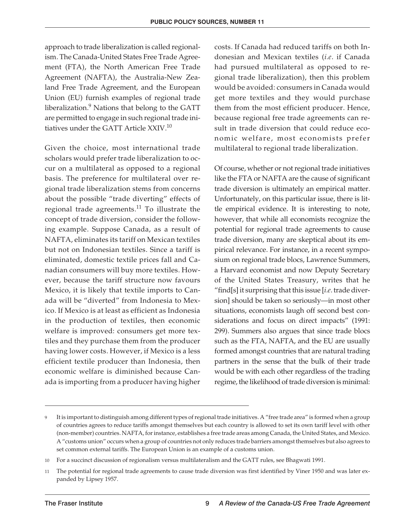approach to trade liberalization is called regionalism. The Canada-United States Free Trade Agreement (FTA), the North American Free Trade Agreement (NAFTA), the Australia-New Zealand Free Trade Agreement, and the European Union (EU) furnish examples of regional trade liberalization.<sup>9</sup> Nations that belong to the GATT are permitted to engage in such regional trade initiatives under the GATT Article XXIV.<sup>10</sup>

Given the choice, most international trade scholars would prefer trade liberalization to occur on a multilateral as opposed to a regional basis. The preference for multilateral over regional trade liberalization stems from concerns about the possible "trade diverting" effects of regional trade agreements.<sup>11</sup> To illustrate the concept of trade diversion, consider the following example. Suppose Canada, as a result of NAFTA, eliminates its tariff on Mexican textiles but not on Indonesian textiles. Since a tariff is eliminated, domestic textile prices fall and Canadian consumers will buy more textiles. However, because the tariff structure now favours Mexico, it is likely that textile imports to Canada will be "diverted" from Indonesia to Mexico. If Mexico is at least as efficient as Indonesia in the production of textiles, then economic welfare is improved: consumers get more textiles and they purchase them from the producer having lower costs. However, if Mexico is a less efficient textile producer than Indonesia, then economic welfare is diminished because Canada is importing from a producer having higher

costs. If Canada had reduced tariffs on both Indonesian and Mexican textiles (*i.e*. if Canada had pursued multilateral as opposed to regional trade liberalization), then this problem would be avoided: consumers in Canada would get more textiles and they would purchase them from the most efficient producer. Hence, because regional free trade agreements can result in trade diversion that could reduce economic welfare, most economists prefer multilateral to regional trade liberalization.

Of course, whether or not regional trade initiatives like the FTA or NAFTA are the cause of significant trade diversion is ultimately an empirical matter. Unfortunately, on this particular issue, there is little empirical evidence. It is interesting to note, however, that while all economists recognize the potential for regional trade agreements to cause trade diversion, many are skeptical about its empirical relevance. For instance, in a recent symposium on regional trade blocs, Lawrence Summers, a Harvard economist and now Deputy Secretary of the United States Treasury, writes that he "find[s] it surprising that this issue [*i.e*. trade diversion] should be taken so seriously—in most other situations, economists laugh off second best considerations and focus on direct impacts" (1991: 299). Summers also argues that since trade blocs such as the FTA, NAFTA, and the EU are usually formed amongst countries that are natural trading partners in the sense that the bulk of their trade would be with each other regardless of the trading regime, the likelihood of trade diversion is minimal:

It is important to distinguish among different types of regional trade initiatives. A "free trade area" is formed when a group of countries agrees to reduce tariffs amongst themselves but each country is allowed to set its own tariff level with other (non-member) countries. NAFTA, for instance, establishes a free trade areas among Canada, the United States, and Mexico. A "customs union" occurs when a group of countries not only reduces trade barriers amongst themselves but also agrees to set common external tariffs. The European Union is an example of a customs union.

<sup>10</sup> For a succinct discussion of regionalism versus multilateralism and the GATT rules, see Bhagwati 1991.

<sup>11</sup> The potential for regional trade agreements to cause trade diversion was first identified by Viner 1950 and was later expanded by Lipsey 1957.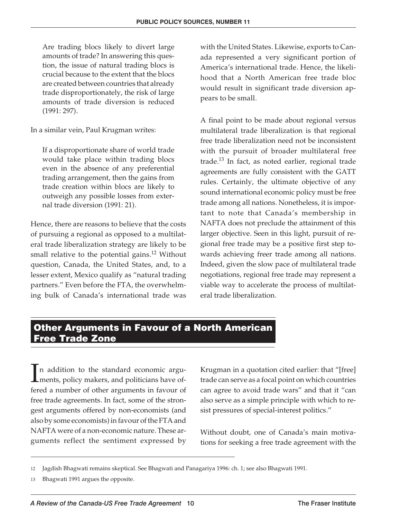Are trading blocs likely to divert large amounts of trade? In answering this question, the issue of natural trading blocs is crucial because to the extent that the blocs are created between countries that already trade disproportionately, the risk of large amounts of trade diversion is reduced (1991: 297).

In a similar vein, Paul Krugman writes:

If a disproportionate share of world trade would take place within trading blocs even in the absence of any preferential trading arrangement, then the gains from trade creation within blocs are likely to outweigh any possible losses from external trade diversion (1991: 21).

Hence, there are reasons to believe that the costs of pursuing a regional as opposed to a multilateral trade liberalization strategy are likely to be small relative to the potential gains.<sup>12</sup> Without question, Canada, the United States, and, to a lesser extent, Mexico qualify as "natural trading partners." Even before the FTA, the overwhelming bulk of Canada's international trade was with the United States. Likewise, exports to Canada represented a very significant portion of America's international trade. Hence, the likelihood that a North American free trade bloc would result in significant trade diversion appears to be small.

A final point to be made about regional versus multilateral trade liberalization is that regional free trade liberalization need not be inconsistent with the pursuit of broader multilateral free trade.<sup>13</sup> In fact, as noted earlier, regional trade agreements are fully consistent with the GATT rules. Certainly, the ultimate objective of any sound international economic policy must be free trade among all nations. Nonetheless, it is important to note that Canada's membership in NAFTA does not preclude the attainment of this larger objective. Seen in this light, pursuit of regional free trade may be a positive first step towards achieving freer trade among all nations. Indeed, given the slow pace of multilateral trade negotiations, regional free trade may represent a viable way to accelerate the process of multilateral trade liberalization.

#### **Other Arguments in Favour of a North American Free Trade Zone**

 $\prod_{\ell=1}^k$ n addition to the standard economic arguments, policy makers, and politicians have offered a number of other arguments in favour of free trade agreements. In fact, some of the strongest arguments offered by non-economists (and also by some economists) in favour of the FTA and NAFTA were of a non-economic nature. These arguments reflect the sentiment expressed by

Krugman in a quotation cited earlier: that "[free] trade can serve as a focal point on which countries can agree to avoid trade wars" and that it "can also serve as a simple principle with which to resist pressures of special-interest politics."

Without doubt, one of Canada's main motivations for seeking a free trade agreement with the

13 Bhagwati 1991 argues the opposite.

<sup>12</sup> Jagdish Bhagwati remains skeptical. See Bhagwati and Panagariya 1996: ch. 1; see also Bhagwati 1991.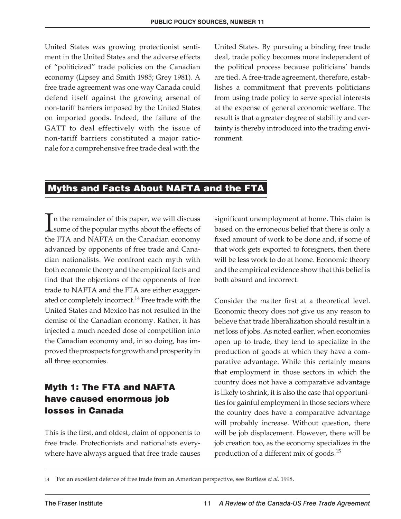United States was growing protectionist sentiment in the United States and the adverse effects of "politicized" trade policies on the Canadian economy (Lipsey and Smith 1985; Grey 1981). A free trade agreement was one way Canada could defend itself against the growing arsenal of non-tariff barriers imposed by the United States on imported goods. Indeed, the failure of the GATT to deal effectively with the issue of non-tariff barriers constituted a major rationale for a comprehensive free trade deal with the

United States. By pursuing a binding free trade deal, trade policy becomes more independent of the political process because politicians' hands are tied. A free-trade agreement, therefore, establishes a commitment that prevents politicians from using trade policy to serve special interests at the expense of general economic welfare. The result is that a greater degree of stability and certainty is thereby introduced into the trading environment.

#### **Myths and Facts About NAFTA and the FTA**

I n the remainder of this paper, we will discuss some of the popular myths about the effects of the FTA and NAFTA on the Canadian economy advanced by opponents of free trade and Canadian nationalists. We confront each myth with both economic theory and the empirical facts and find that the objections of the opponents of free trade to NAFTA and the FTA are either exaggerated or completely incorrect.<sup>14</sup> Free trade with the United States and Mexico has not resulted in the demise of the Canadian economy. Rather, it has injected a much needed dose of competition into the Canadian economy and, in so doing, has improved the prospects for growth and prosperity in all three economies.

#### **Myth 1: The FTA and NAFTA have caused enormous job losses in Canada**

This is the first, and oldest, claim of opponents to free trade. Protectionists and nationalists everywhere have always argued that free trade causes

significant unemployment at home. This claim is based on the erroneous belief that there is only a fixed amount of work to be done and, if some of that work gets exported to foreigners, then there will be less work to do at home. Economic theory and the empirical evidence show that this belief is both absurd and incorrect.

Consider the matter first at a theoretical level. Economic theory does not give us any reason to believe that trade liberalization should result in a net loss of jobs. As noted earlier, when economies open up to trade, they tend to specialize in the production of goods at which they have a comparative advantage. While this certainly means that employment in those sectors in which the country does not have a comparative advantage is likely to shrink, it is also the case that opportunities for gainful employment in those sectors where the country does have a comparative advantage will probably increase. Without question, there will be job displacement. However, there will be job creation too, as the economy specializes in the production of a different mix of goods.15

<sup>14</sup> For an excellent defence of free trade from an American perspective, see Burtless *et al*. 1998.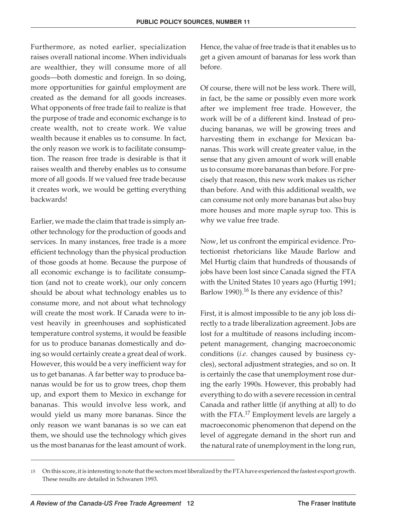Furthermore, as noted earlier, specialization raises overall national income. When individuals are wealthier, they will consume more of all goods—both domestic and foreign. In so doing, more opportunities for gainful employment are created as the demand for all goods increases. What opponents of free trade fail to realize is that the purpose of trade and economic exchange is to create wealth, not to create work. We value wealth because it enables us to consume. In fact, the only reason we work is to facilitate consumption. The reason free trade is desirable is that it raises wealth and thereby enables us to consume more of all goods. If we valued free trade because it creates work, we would be getting everything backwards!

Earlier, we made the claim that trade is simply another technology for the production of goods and services. In many instances, free trade is a more efficient technology than the physical production of those goods at home. Because the purpose of all economic exchange is to facilitate consumption (and not to create work), our only concern should be about what technology enables us to consume more, and not about what technology will create the most work. If Canada were to invest heavily in greenhouses and sophisticated temperature control systems, it would be feasible for us to produce bananas domestically and doing so would certainly create a great deal of work. However, this would be a very inefficient way for us to get bananas. A far better way to produce bananas would be for us to grow trees, chop them up, and export them to Mexico in exchange for bananas. This would involve less work, and would yield us many more bananas. Since the only reason we want bananas is so we can eat them, we should use the technology which gives us the most bananas for the least amount of work.

Hence, the value of free trade is that it enables us to get a given amount of bananas for less work than before.

Of course, there will not be less work. There will, in fact, be the same or possibly even more work after we implement free trade. However, the work will be of a different kind. Instead of producing bananas, we will be growing trees and harvesting them in exchange for Mexican bananas. This work will create greater value, in the sense that any given amount of work will enable us to consume more bananas than before. For precisely that reason, this new work makes us richer than before. And with this additional wealth, we can consume not only more bananas but also buy more houses and more maple syrup too. This is why we value free trade.

Now, let us confront the empirical evidence. Protectionist rhetoricians like Maude Barlow and Mel Hurtig claim that hundreds of thousands of jobs have been lost since Canada signed the FTA with the United States 10 years ago (Hurtig 1991; Barlow 1990).<sup>16</sup> Is there any evidence of this?

First, it is almost impossible to tie any job loss directly to a trade liberalization agreement. Jobs are lost for a multitude of reasons including incompetent management, changing macroeconomic conditions (*i.e.* changes caused by business cycles), sectoral adjustment strategies, and so on. It is certainly the case that unemployment rose during the early 1990s. However, this probably had everything to do with a severe recession in central Canada and rather little (if anything at all) to do with the  $FTA.^{17}$  Employment levels are largely a macroeconomic phenomenon that depend on the level of aggregate demand in the short run and the natural rate of unemployment in the long run,

<sup>15</sup> On this score, it is interesting to note that the sectors most liberalized by the FTA have experienced the fastest export growth. These results are detailed in Schwanen 1993.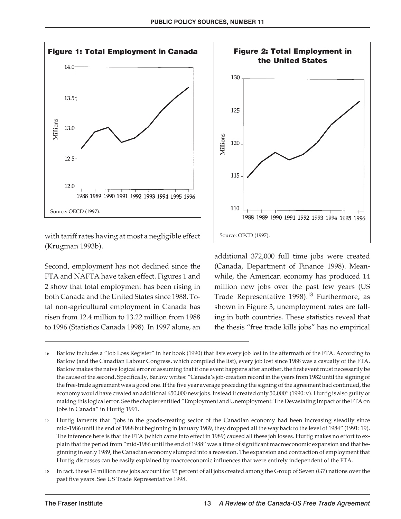

with tariff rates having at most a negligible effect (Krugman 1993b).

Second, employment has not declined since the FTA and NAFTA have taken effect. Figures 1 and 2 show that total employment has been rising in both Canada and the United States since 1988. Total non-agricultural employment in Canada has risen from 12.4 million to 13.22 million from 1988 to 1996 (Statistics Canada 1998). In 1997 alone, an



additional 372,000 full time jobs were created (Canada, Department of Finance 1998). Meanwhile, the American economy has produced 14 million new jobs over the past few years (US Trade Representative  $1998$ .<sup>18</sup> Furthermore, as shown in Figure 3, unemployment rates are falling in both countries. These statistics reveal that the thesis "free trade kills jobs" has no empirical

18 In fact, these 14 million new jobs account for 95 percent of all jobs created among the Group of Seven (G7) nations over the past five years. See US Trade Representative 1998.

<sup>16</sup> Barlow includes a "Job Loss Register" in her book (1990) that lists every job lost in the aftermath of the FTA. According to Barlow (and the Canadian Labour Congress, which compiled the list), every job lost since 1988 was a casualty of the FTA. Barlow makes the naive logical error of assuming that if one event happens after another, the first event must necessarily be the cause of the second. Specifically, Barlow writes: "Canada's job-creation record in the years from 1982 until the signing of the free-trade agreement was a good one. If the five year average preceding the signing of the agreement had continued, the economy would have created an additional 650,000 new jobs. Instead it created only 50,000" (1990: v). Hurtig is also guilty of making this logical error. See the chapter entitled "Employment and Unemployment: The Devastating Impact of the FTA on Jobs in Canada" in Hurtig 1991.

<sup>17</sup> Hurtig laments that "jobs in the goods-creating sector of the Canadian economy had been increasing steadily since mid-1986 until the end of 1988 but beginning in January 1989, they dropped all the way back to the level of 1984" (1991: 19). The inference here is that the FTA (which came into effect in 1989) caused all these job losses. Hurtig makes no effort to explain that the period from "mid-1986 until the end of 1988" was a time of significant macroeconomic expansion and that beginning in early 1989, the Canadian economy slumped into a recession. The expansion and contraction of employment that Hurtig discusses can be easily explained by macroeconomic influences that were entirely independent of the FTA.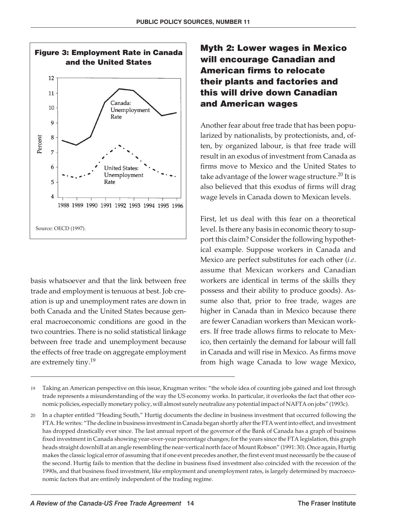

basis whatsoever and that the link between free trade and employment is tenuous at best. Job creation is up and unemployment rates are down in both Canada and the United States because general macroeconomic conditions are good in the two countries. There is no solid statistical linkage between free trade and unemployment because the effects of free trade on aggregate employment are extremely tiny.<sup>19</sup>

#### **Myth 2: Lower wages in Mexico will encourage Canadian and American firms to relocate their plants and factories and this will drive down Canadian and American wages**

Another fear about free trade that has been popularized by nationalists, by protectionists, and, often, by organized labour, is that free trade will result in an exodus of investment from Canada as firms move to Mexico and the United States to take advantage of the lower wage structure.<sup>20</sup> It is also believed that this exodus of firms will drag wage levels in Canada down to Mexican levels.

First, let us deal with this fear on a theoretical level. Is there any basis in economic theory to support this claim? Consider the following hypothetical example. Suppose workers in Canada and Mexico are perfect substitutes for each other (*i.e*. assume that Mexican workers and Canadian workers are identical in terms of the skills they possess and their ability to produce goods). Assume also that, prior to free trade, wages are higher in Canada than in Mexico because there are fewer Canadian workers than Mexican workers. If free trade allows firms to relocate to Mexico, then certainly the demand for labour will fall in Canada and will rise in Mexico. As firms move from high wage Canada to low wage Mexico,

<sup>19</sup> Taking an American perspective on this issue, Krugman writes: "the whole idea of counting jobs gained and lost through trade represents a misunderstanding of the way the US economy works. In particular, it overlooks the fact that other economic policies, especially monetary policy, will almost surely neutralize any potential impact of NAFTA on jobs" (1993c).

<sup>20</sup> In a chapter entitled "Heading South," Hurtig documents the decline in business investment that occurred following the FTA. He writes: "The decline in business investment in Canada began shortly after the FTA went into effect, and investment has dropped drastically ever since. The last annual report of the governor of the Bank of Canada has a graph of business fixed investment in Canada showing year-over-year percentage changes; for the years since the FTA legislation, this graph heads straight downhill at an angle resembling the near-vertical north face of Mount Robson" (1991: 30). Once again, Hurtig makes the classic logical error of assuming that if one event precedes another, the first event must necessarily be the cause of the second. Hurtig fails to mention that the decline in business fixed investment also coincided with the recession of the 1990s, and that business fixed investment, like employment and unemployment rates, is largely determined by macroeconomic factors that are entirely independent of the trading regime.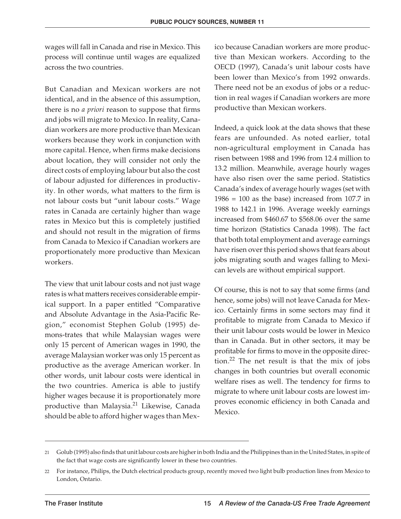wages will fall in Canada and rise in Mexico. This process will continue until wages are equalized across the two countries.

But Canadian and Mexican workers are not identical, and in the absence of this assumption, there is no *a priori* reason to suppose that firms and jobs will migrate to Mexico. In reality, Canadian workers are more productive than Mexican workers because they work in conjunction with more capital. Hence, when firms make decisions about location, they will consider not only the direct costs of employing labour but also the cost of labour adjusted for differences in productivity. In other words, what matters to the firm is not labour costs but "unit labour costs." Wage rates in Canada are certainly higher than wage rates in Mexico but this is completely justified and should not result in the migration of firms from Canada to Mexico if Canadian workers are proportionately more productive than Mexican workers.

The view that unit labour costs and not just wage rates is what matters receives considerable empirical support. In a paper entitled "Comparative and Absolute Advantage in the Asia-Pacific Region," economist Stephen Golub (1995) demons-trates that while Malaysian wages were only 15 percent of American wages in 1990, the average Malaysian worker was only 15 percent as productive as the average American worker. In other words, unit labour costs were identical in the two countries. America is able to justify higher wages because it is proportionately more productive than Malaysia.<sup>21</sup> Likewise, Canada should be able to afford higher wages than Mexico because Canadian workers are more productive than Mexican workers. According to the OECD (1997), Canada's unit labour costs have been lower than Mexico's from 1992 onwards. There need not be an exodus of jobs or a reduction in real wages if Canadian workers are more productive than Mexican workers.

Indeed, a quick look at the data shows that these fears are unfounded. As noted earlier, total non-agricultural employment in Canada has risen between 1988 and 1996 from 12.4 million to 13.2 million. Meanwhile, average hourly wages have also risen over the same period. Statistics Canada's index of average hourly wages (set with  $1986 = 100$  as the base) increased from 107.7 in 1988 to 142.1 in 1996. Average weekly earnings increased from \$460.67 to \$568.06 over the same time horizon (Statistics Canada 1998). The fact that both total employment and average earnings have risen over this period shows that fears about jobs migrating south and wages falling to Mexican levels are without empirical support.

Of course, this is not to say that some firms (and hence, some jobs) will not leave Canada for Mexico. Certainly firms in some sectors may find it profitable to migrate from Canada to Mexico if their unit labour costs would be lower in Mexico than in Canada. But in other sectors, it may be profitable for firms to move in the opposite direction.<sup>22</sup> The net result is that the mix of jobs changes in both countries but overall economic welfare rises as well. The tendency for firms to migrate to where unit labour costs are lowest improves economic efficiency in both Canada and Mexico.

<sup>21</sup> Golub (1995) also finds that unit labour costs are higher in both India and the Philippines than in the United States, in spite of the fact that wage costs are significantly lower in these two countries.

<sup>22</sup> For instance, Philips, the Dutch electrical products group, recently moved two light bulb production lines from Mexico to London, Ontario.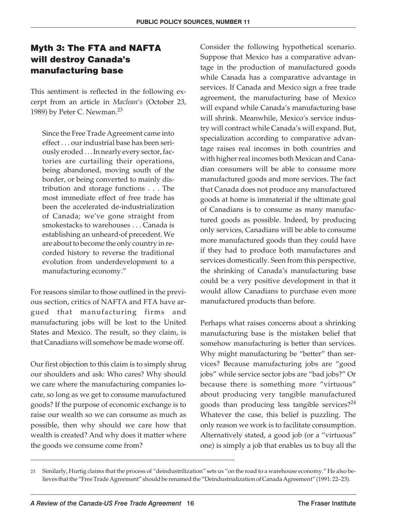#### **Myth 3: The FTA and NAFTA will destroy Canada's manufacturing base**

This sentiment is reflected in the following excerpt from an article in *Maclean's* (October 23, 1989) by Peter C. Newman.<sup>23</sup>

Since the Free Trade Agreement came into effect . . . our industrial base has been seriously eroded. . . In nearly every sector, factories are curtailing their operations, being abandoned, moving south of the border, or being converted to mainly distribution and storage functions . . . The most immediate effect of free trade has been the accelerated de-industrialization of Canada; we've gone straight from smokestacks to warehouses... Canada is establishing an unheard-of precedent. We are about to become the only country in recorded history to reverse the traditional evolution from underdevelopment to a manufacturing economy."

For reasons similar to those outlined in the previous section, critics of NAFTA and FTA have argued that manufacturing firms and manufacturing jobs will be lost to the United States and Mexico. The result, so they claim, is that Canadians will somehow be made worse off.

Our first objection to this claim is to simply shrug our shoulders and ask: Who cares? Why should we care where the manufacturing companies locate, so long as we get to consume manufactured goods? If the purpose of economic exchange is to raise our wealth so we can consume as much as possible, then why should we care how that wealth is created? And why does it matter where the goods we consume come from?

Consider the following hypothetical scenario. Suppose that Mexico has a comparative advantage in the production of manufactured goods while Canada has a comparative advantage in services. If Canada and Mexico sign a free trade agreement, the manufacturing base of Mexico will expand while Canada's manufacturing base will shrink. Meanwhile, Mexico's service industry will contract while Canada's will expand. But, specialization according to comparative advantage raises real incomes in both countries and with higher real incomes both Mexican and Canadian consumers will be able to consume more manufactured goods and more services. The fact that Canada does not produce any manufactured goods at home is immaterial if the ultimate goal of Canadians is to consume as many manufactured goods as possible. Indeed, by producing only services, Canadians will be able to consume more manufactured goods than they could have if they had to produce both manufactures and services domestically. Seen from this perspective, the shrinking of Canada's manufacturing base could be a very positive development in that it would allow Canadians to purchase even more manufactured products than before.

Perhaps what raises concerns about a shrinking manufacturing base is the mistaken belief that somehow manufacturing is better than services. Why might manufacturing be "better" than services? Because manufacturing jobs are "good jobs" while service sector jobs are "bad jobs?" Or because there is something more "virtuous" about producing very tangible manufactured goods than producing less tangible services? $24$ Whatever the case, this belief is puzzling. The only reason we work is to facilitate consumption. Alternatively stated, a good job (or a "virtuous" one) is simply a job that enables us to buy all the

<sup>23</sup> Similarly, Hurtig claims that the process of "deindustrilization" sets us "on the road to a warehouse economy." He also believes that the "Free Trade Agreement" should be renamed the "Deindustrialization of Canada Agreement" (1991: 22–23).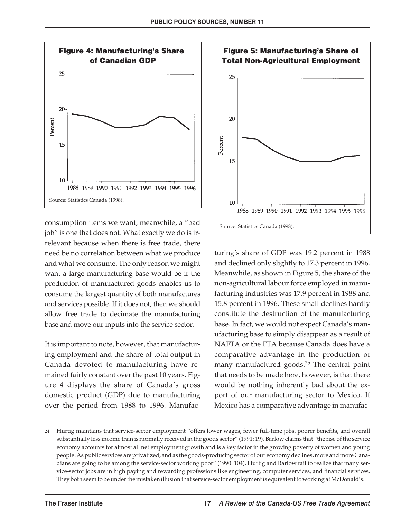

consumption items we want; meanwhile, a "bad job" is one that does not. What exactly we do is irrelevant because when there is free trade, there need be no correlation between what we produce and what we consume. The only reason we might want a large manufacturing base would be if the production of manufactured goods enables us to consume the largest quantity of both manufactures and services possible. If it does not, then we should allow free trade to decimate the manufacturing base and move our inputs into the service sector.

It is important to note, however, that manufacturing employment and the share of total output in Canada devoted to manufacturing have remained fairly constant over the past 10 years. Figure 4 displays the share of Canada's gross domestic product (GDP) due to manufacturing over the period from 1988 to 1996. Manufac-



turing's share of GDP was 19.2 percent in 1988 and declined only slightly to 17.3 percent in 1996. Meanwhile, as shown in Figure 5, the share of the non-agricultural labour force employed in manufacturing industries was 17.9 percent in 1988 and 15.8 percent in 1996. These small declines hardly constitute the destruction of the manufacturing base. In fact, we would not expect Canada's manufacturing base to simply disappear as a result of NAFTA or the FTA because Canada does have a comparative advantage in the production of many manufactured goods.<sup>25</sup> The central point that needs to be made here, however, is that there would be nothing inherently bad about the export of our manufacturing sector to Mexico. If Mexico has a comparative advantage in manufac-

<sup>24</sup> Hurtig maintains that service-sector employment "offers lower wages, fewer full-time jobs, poorer benefits, and overall substantially less income than is normally received in the goods sector" (1991: 19). Barlow claims that "the rise of the service economy accounts for almost all net employment growth and is a key factor in the growing poverty of women and young people. As public services are privatized, and as the goods-producing sector of our economy declines, more and more Canadians are going to be among the service-sector working poor" (1990: 104). Hurtig and Barlow fail to realize that many service-sector jobs are in high paying and rewarding professions like engineering, computer services, and financial services. They both seem to be under the mistaken illusion that service-sector employment is equivalent to working at McDonald's.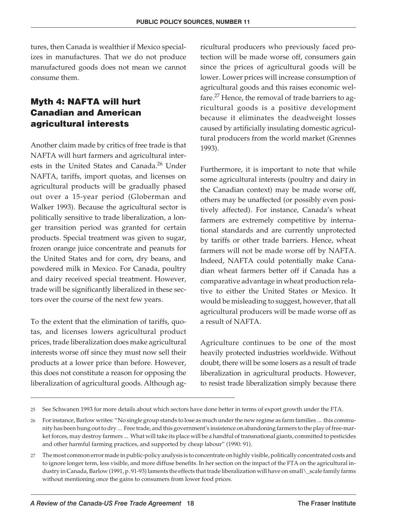tures, then Canada is wealthier if Mexico specializes in manufactures. That we do not produce manufactured goods does not mean we cannot consume them.

#### **Myth 4: NAFTA will hurt Canadian and American agricultural interests**

Another claim made by critics of free trade is that NAFTA will hurt farmers and agricultural interests in the United States and Canada.<sup>26</sup> Under NAFTA, tariffs, import quotas, and licenses on agricultural products will be gradually phased out over a 15-year period (Globerman and Walker 1993). Because the agricultural sector is politically sensitive to trade liberalization, a longer transition period was granted for certain products. Special treatment was given to sugar, frozen orange juice concentrate and peanuts for the United States and for corn, dry beans, and powdered milk in Mexico. For Canada, poultry and dairy received special treatment. However, trade will be significantly liberalized in these sectors over the course of the next few years.

To the extent that the elimination of tariffs, quotas, and licenses lowers agricultural product prices, trade liberalization does make agricultural interests worse off since they must now sell their products at a lower price than before. However, this does not constitute a reason for opposing the liberalization of agricultural goods. Although agricultural producers who previously faced protection will be made worse off, consumers gain since the prices of agricultural goods will be lower. Lower prices will increase consumption of agricultural goods and this raises economic welfare.<sup>27</sup> Hence, the removal of trade barriers to agricultural goods is a positive development because it eliminates the deadweight losses caused by artificially insulating domestic agricultural producers from the world market (Grennes 1993).

Furthermore, it is important to note that while some agricultural interests (poultry and dairy in the Canadian context) may be made worse off, others may be unaffected (or possibly even positively affected). For instance, Canada's wheat farmers are extremely competitive by international standards and are currently unprotected by tariffs or other trade barriers. Hence, wheat farmers will not be made worse off by NAFTA. Indeed, NAFTA could potentially make Canadian wheat farmers better off if Canada has a comparative advantage in wheat production relative to either the United States or Mexico. It would be misleading to suggest, however, that all agricultural producers will be made worse off as a result of NAFTA.

Agriculture continues to be one of the most heavily protected industries worldwide. Without doubt, there will be some losers as a result of trade liberalization in agricultural products. However, to resist trade liberalization simply because there

<sup>25</sup> See Schwanen 1993 for more details about which sectors have done better in terms of export growth under the FTA.

<sup>26</sup> For instance, Barlow writes: "No single group stands to lose as much under the new regime as farm families ... this community has been hung out to dry ... Free trade, and this government's insistence on abandoning farmers to the play of free-market forces, may destroy farmers ... What will take its place will be a handful of transnational giants, committed to pesticides and other harmful farming practices, and supported by cheap labour" (1990: 91).

<sup>27</sup> The most common error made in public-policy analysis is to concentrate on highly visible, politically concentrated costs and to ignore longer term, less visible, and more diffuse benefits. In her section on the impact of the FTA on the agricultural industry in Canada, Barlow (1991, p. 91-93) laments the effects that trade liberalization will have on small\scale family farms without mentioning once the gains to consumers from lower food prices.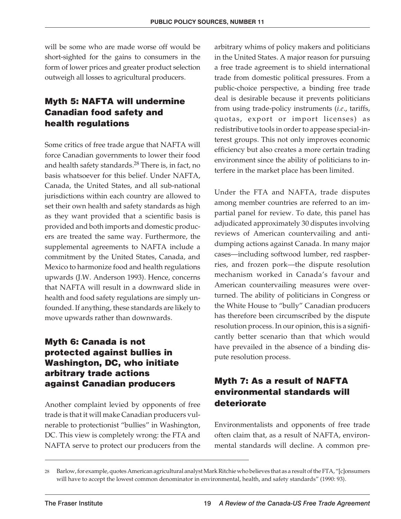will be some who are made worse off would be short-sighted for the gains to consumers in the form of lower prices and greater product selection outweigh all losses to agricultural producers.

#### **Myth 5: NAFTA will undermine Canadian food safety and health regulations**

Some critics of free trade argue that NAFTA will force Canadian governments to lower their food and health safety standards.<sup>28</sup> There is, in fact, no basis whatsoever for this belief. Under NAFTA, Canada, the United States, and all sub-national jurisdictions within each country are allowed to set their own health and safety standards as high as they want provided that a scientific basis is provided and both imports and domestic producers are treated the same way. Furthermore, the supplemental agreements to NAFTA include a commitment by the United States, Canada, and Mexico to harmonize food and health regulations upwards (J.W. Anderson 1993). Hence, concerns that NAFTA will result in a downward slide in health and food safety regulations are simply unfounded. If anything, these standards are likely to move upwards rather than downwards.

#### **Myth 6: Canada is not protected against bullies in Washington, DC, who initiate arbitrary trade actions against Canadian producers**

Another complaint levied by opponents of free trade is that it will make Canadian producers vulnerable to protectionist "bullies" in Washington, DC. This view is completely wrong: the FTA and NAFTA serve to protect our producers from the arbitrary whims of policy makers and politicians in the United States. A major reason for pursuing a free trade agreement is to shield international trade from domestic political pressures. From a public-choice perspective, a binding free trade deal is desirable because it prevents politicians from using trade-policy instruments (*i.e*., tariffs, quotas, export or import licenses) as redistributive tools in order to appease special-interest groups. This not only improves economic efficiency but also creates a more certain trading environment since the ability of politicians to interfere in the market place has been limited.

Under the FTA and NAFTA, trade disputes among member countries are referred to an impartial panel for review. To date, this panel has adjudicated approximately 30 disputes involving reviews of American countervailing and antidumping actions against Canada. In many major cases—including softwood lumber, red raspberries, and frozen pork—the dispute resolution mechanism worked in Canada's favour and American countervailing measures were overturned. The ability of politicians in Congress or the White House to "bully" Canadian producers has therefore been circumscribed by the dispute resolution process. In our opinion, this is a significantly better scenario than that which would have prevailed in the absence of a binding dispute resolution process.

#### **Myth 7: As a result of NAFTA environmental standards will deteriorate**

Environmentalists and opponents of free trade often claim that, as a result of NAFTA, environmental standards will decline. A common pre-

<sup>28</sup> Barlow, for example, quotes American agricultural analyst Mark Ritchie who believes that as a result of the FTA, "[c]onsumers will have to accept the lowest common denominator in environmental, health, and safety standards" (1990: 93).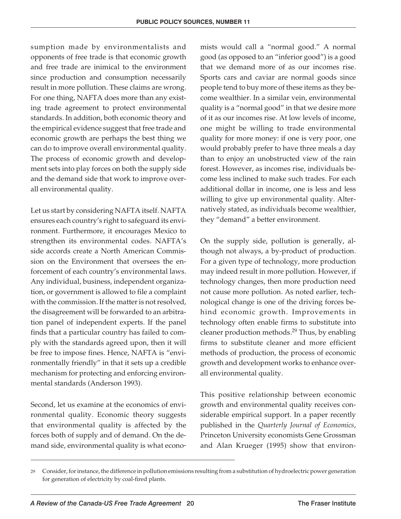sumption made by environmentalists and opponents of free trade is that economic growth and free trade are inimical to the environment since production and consumption necessarily result in more pollution. These claims are wrong. For one thing, NAFTA does more than any existing trade agreement to protect environmental standards. In addition, both economic theory and the empirical evidence suggest that free trade and economic growth are perhaps the best thing we can do to improve overall environmental quality. The process of economic growth and development sets into play forces on both the supply side and the demand side that work to improve overall environmental quality.

Let us start by considering NAFTA itself. NAFTA ensures each country's right to safeguard its environment. Furthermore, it encourages Mexico to strengthen its environmental codes. NAFTA's side accords create a North American Commission on the Environment that oversees the enforcement of each country's environmental laws. Any individual, business, independent organization, or government is allowed to file a complaint with the commission. If the matter is not resolved, the disagreement will be forwarded to an arbitration panel of independent experts. If the panel finds that a particular country has failed to comply with the standards agreed upon, then it will be free to impose fines. Hence, NAFTA is "environmentally friendly" in that it sets up a credible mechanism for protecting and enforcing environmental standards (Anderson 1993).

Second, let us examine at the economics of environmental quality. Economic theory suggests that environmental quality is affected by the forces both of supply and of demand. On the demand side, environmental quality is what econo-

mists would call a "normal good." A normal good (as opposed to an "inferior good") is a good that we demand more of as our incomes rise. Sports cars and caviar are normal goods since people tend to buy more of these items as they become wealthier. In a similar vein, environmental quality is a "normal good" in that we desire more of it as our incomes rise. At low levels of income, one might be willing to trade environmental quality for more money: if one is very poor, one would probably prefer to have three meals a day than to enjoy an unobstructed view of the rain forest. However, as incomes rise, individuals become less inclined to make such trades. For each additional dollar in income, one is less and less willing to give up environmental quality. Alternatively stated, as individuals become wealthier, they "demand" a better environment.

On the supply side, pollution is generally, although not always, a by-product of production. For a given type of technology, more production may indeed result in more pollution. However, if technology changes, then more production need not cause more pollution. As noted earlier, technological change is one of the driving forces behind economic growth. Improvements in technology often enable firms to substitute into cleaner production methods.<sup>29</sup> Thus, by enabling firms to substitute cleaner and more efficient methods of production, the process of economic growth and development works to enhance overall environmental quality.

This positive relationship between economic growth and environmental quality receives considerable empirical support. In a paper recently published in the *Quarterly Journal of Economics*, Princeton University economists Gene Grossman and Alan Krueger (1995) show that environ-

<sup>29</sup> Consider, for instance, the difference in pollution emissions resulting from a substitution of hydroelectric power generation for generation of electricity by coal-fired plants.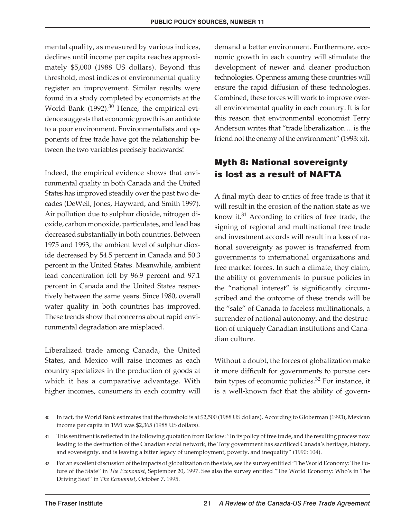mental quality, as measured by various indices, declines until income per capita reaches approximately \$5,000 (1988 US dollars). Beyond this threshold, most indices of environmental quality register an improvement. Similar results were found in a study completed by economists at the World Bank (1992).<sup>30</sup> Hence, the empirical evidence suggests that economic growth is an antidote to a poor environment. Environmentalists and opponents of free trade have got the relationship between the two variables precisely backwards!

Indeed, the empirical evidence shows that environmental quality in both Canada and the United States has improved steadily over the past two decades (DeWeil, Jones, Hayward, and Smith 1997). Air pollution due to sulphur dioxide, nitrogen dioxide, carbon monoxide, particulates, and lead has decreased substantially in both countries. Between 1975 and 1993, the ambient level of sulphur dioxide decreased by 54.5 percent in Canada and 50.3 percent in the United States. Meanwhile, ambient lead concentration fell by 96.9 percent and 97.1 percent in Canada and the United States respectively between the same years. Since 1980, overall water quality in both countries has improved. These trends show that concerns about rapid environmental degradation are misplaced.

Liberalized trade among Canada, the United States, and Mexico will raise incomes as each country specializes in the production of goods at which it has a comparative advantage. With higher incomes, consumers in each country will

demand a better environment. Furthermore, economic growth in each country will stimulate the development of newer and cleaner production technologies. Openness among these countries will ensure the rapid diffusion of these technologies. Combined, these forces will work to improve overall environmental quality in each country. It is for this reason that environmental economist Terry Anderson writes that "trade liberalization ... is the friend not the enemy of the environment" (1993: xi).

#### **Myth 8: National sovereignty is lost as a result of NAFTA**

A final myth dear to critics of free trade is that it will result in the erosion of the nation state as we know it.<sup>31</sup> According to critics of free trade, the signing of regional and multinational free trade and investment accords will result in a loss of national sovereignty as power is transferred from governments to international organizations and free market forces. In such a climate, they claim, the ability of governments to pursue policies in the "national interest" is significantly circumscribed and the outcome of these trends will be the "sale" of Canada to faceless multinationals, a surrender of national autonomy, and the destruction of uniquely Canadian institutions and Canadian culture.

Without a doubt, the forces of globalization make it more difficult for governments to pursue certain types of economic policies. $32$  For instance, it is a well-known fact that the ability of govern-

<sup>30</sup> In fact, the World Bank estimates that the threshold is at \$2,500 (1988 US dollars). According to Globerman (1993), Mexican income per capita in 1991 was \$2,365 (1988 US dollars).

<sup>31</sup> This sentiment is reflected in the following quotation from Barlow: "In its policy of free trade, and the resulting process now leading to the destruction of the Canadian social network, the Tory government has sacrificed Canada's heritage, history, and sovereignty, and is leaving a bitter legacy of unemployment, poverty, and inequality" (1990: 104).

<sup>32</sup> For an excellent discussion of the impacts of globalization on the state, see the survey entitled "The World Economy: The Future of the State" in *The Economist*, September 20, 1997. See also the survey entitled "The World Economy: Who's in The Driving Seat" in *The Economist*, October 7, 1995.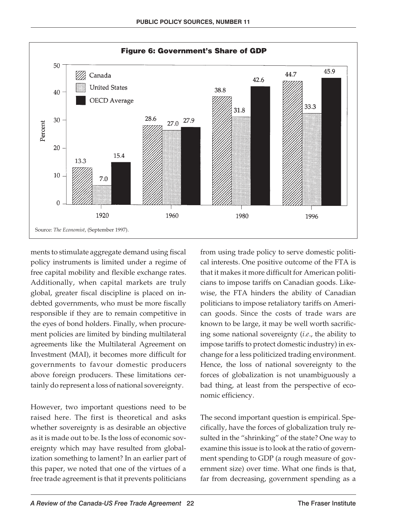

ments to stimulate aggregate demand using fiscal policy instruments is limited under a regime of free capital mobility and flexible exchange rates. Additionally, when capital markets are truly global, greater fiscal discipline is placed on indebted governments, who must be more fiscally responsible if they are to remain competitive in the eyes of bond holders. Finally, when procurement policies are limited by binding multilateral agreements like the Multilateral Agreement on Investment (MAI), it becomes more difficult for governments to favour domestic producers above foreign producers. These limitations certainly do represent a loss of national sovereignty.

However, two important questions need to be raised here. The first is theoretical and asks whether sovereignty is as desirable an objective as it is made out to be. Is the loss of economic sovereignty which may have resulted from globalization something to lament? In an earlier part of this paper, we noted that one of the virtues of a free trade agreement is that it prevents politicians

from using trade policy to serve domestic political interests. One positive outcome of the FTA is that it makes it more difficult for American politicians to impose tariffs on Canadian goods. Likewise, the FTA hinders the ability of Canadian politicians to impose retaliatory tariffs on American goods. Since the costs of trade wars are known to be large, it may be well worth sacrificing some national sovereignty (*i.e*., the ability to impose tariffs to protect domestic industry) in exchange for a less politicized trading environment. Hence, the loss of national sovereignty to the forces of globalization is not unambiguously a bad thing, at least from the perspective of economic efficiency.

The second important question is empirical. Specifically, have the forces of globalization truly resulted in the "shrinking" of the state? One way to examine this issue is to look at the ratio of government spending to GDP (a rough measure of government size) over time. What one finds is that, far from decreasing, government spending as a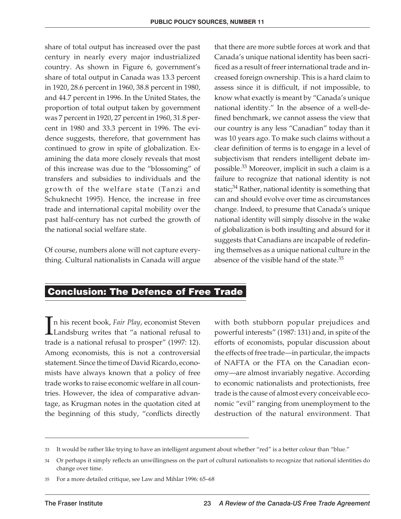share of total output has increased over the past century in nearly every major industrialized country. As shown in Figure 6, government's share of total output in Canada was 13.3 percent in 1920, 28.6 percent in 1960, 38.8 percent in 1980, and 44.7 percent in 1996. In the United States, the proportion of total output taken by government was 7 percent in 1920, 27 percent in 1960, 31.8 percent in 1980 and 33.3 percent in 1996. The evidence suggests, therefore, that government has continued to grow in spite of globalization. Examining the data more closely reveals that most of this increase was due to the "blossoming" of transfers and subsidies to individuals and the growth of the welfare state (Tanzi and Schuknecht 1995). Hence, the increase in free trade and international capital mobility over the past half-century has not curbed the growth of the national social welfare state.

Of course, numbers alone will not capture everything. Cultural nationalists in Canada will argue that there are more subtle forces at work and that Canada's unique national identity has been sacrificed as a result of freer international trade and increased foreign ownership. This is a hard claim to assess since it is difficult, if not impossible, to know what exactly is meant by "Canada's unique national identity." In the absence of a well-defined benchmark, we cannot assess the view that our country is any less "Canadian" today than it was 10 years ago. To make such claims without a clear definition of terms is to engage in a level of subjectivism that renders intelligent debate impossible.33 Moreover, implicit in such a claim is a failure to recognize that national identity is not static; $34$  Rather, national identity is something that can and should evolve over time as circumstances change. Indeed, to presume that Canada's unique national identity will simply dissolve in the wake of globalization is both insulting and absurd for it suggests that Canadians are incapable of redefining themselves as a unique national culture in the absence of the visible hand of the state.<sup>35</sup>

#### **Conclusion: The Defence of Free Trade**

I n his recent book, *Fair Play*, economist Steven Landsburg writes that "a national refusal to trade is a national refusal to prosper" (1997: 12). Among economists, this is not a controversial statement. Since the time of David Ricardo, economists have always known that a policy of free trade works to raise economic welfare in all countries. However, the idea of comparative advantage, as Krugman notes in the quotation cited at the beginning of this study, "conflicts directly

with both stubborn popular prejudices and powerful interests" (1987: 131) and, in spite of the efforts of economists, popular discussion about the effects of free trade—in particular, the impacts of NAFTA or the FTA on the Canadian economy—are almost invariably negative. According to economic nationalists and protectionists, free trade is the cause of almost every conceivable economic "evil" ranging from unemployment to the destruction of the natural environment. That

<sup>33</sup> It would be rather like trying to have an intelligent argument about whether "red" is a better colour than "blue."

<sup>34</sup> Or perhaps it simply reflects an unwillingness on the part of cultural nationalists to recognize that national identities do change over time.

<sup>35</sup> For a more detailed critique, see Law and Mihlar 1996: 65–68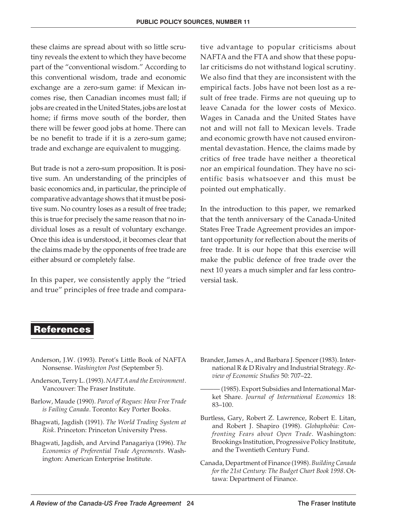these claims are spread about with so little scrutiny reveals the extent to which they have become part of the "conventional wisdom." According to this conventional wisdom, trade and economic exchange are a zero-sum game: if Mexican incomes rise, then Canadian incomes must fall; if jobs are created in the United States, jobs are lost at home; if firms move south of the border, then there will be fewer good jobs at home. There can be no benefit to trade if it is a zero-sum game; trade and exchange are equivalent to mugging.

But trade is not a zero-sum proposition. It is positive sum. An understanding of the principles of basic economics and, in particular, the principle of comparative advantage shows that it must be positive sum. No country loses as a result of free trade; this is true for precisely the same reason that no individual loses as a result of voluntary exchange. Once this idea is understood, it becomes clear that the claims made by the opponents of free trade are either absurd or completely false.

In this paper, we consistently apply the "tried and true" principles of free trade and compara-

tive advantage to popular criticisms about NAFTA and the FTA and show that these popular criticisms do not withstand logical scrutiny. We also find that they are inconsistent with the empirical facts. Jobs have not been lost as a result of free trade. Firms are not queuing up to leave Canada for the lower costs of Mexico. Wages in Canada and the United States have not and will not fall to Mexican levels. Trade and economic growth have not caused environmental devastation. Hence, the claims made by critics of free trade have neither a theoretical nor an empirical foundation. They have no scientific basis whatsoever and this must be pointed out emphatically.

In the introduction to this paper, we remarked that the tenth anniversary of the Canada-United States Free Trade Agreement provides an important opportunity for reflection about the merits of free trade. It is our hope that this exercise will make the public defence of free trade over the next 10 years a much simpler and far less controversial task.

#### **References**

- Anderson, J.W. (1993). Perot's Little Book of NAFTA Nonsense. *Washington Post* (September 5).
- Anderson, Terry L. (1993). *NAFTA and the Environment*. Vancouver: The Fraser Institute.
- Barlow, Maude (1990). *Parcel of Rogues: How Free Trade is Failing Canada*. Toronto: Key Porter Books.
- Bhagwati, Jagdish (1991). *The World Trading System at Risk*. Princeton: Princeton University Press.
- Bhagwati, Jagdish, and Arvind Panagariya (1996). *The Economics of Preferential Trade Agreements*. Washington: American Enterprise Institute.
- Brander, James A., and Barbara J. Spencer (1983). International R & D Rivalry and Industrial Strategy. *Review of Economic Studies* 50: 707–22.
- ——— (1985). Export Subsidies and International Market Share. *Journal of International Economics* 18: 83–100.
- Burtless, Gary, Robert Z. Lawrence, Robert E. Litan, and Robert J. Shapiro (1998). *Globaphobia: Confronting Fears about Open Trade*. Washington: Brookings Institution, Progressive Policy Institute, and the Twentieth Century Fund.
- Canada, Department of Finance (1998). *Building Canada for the 21st Century: The Budget Chart Book 1998*. Ottawa: Department of Finance.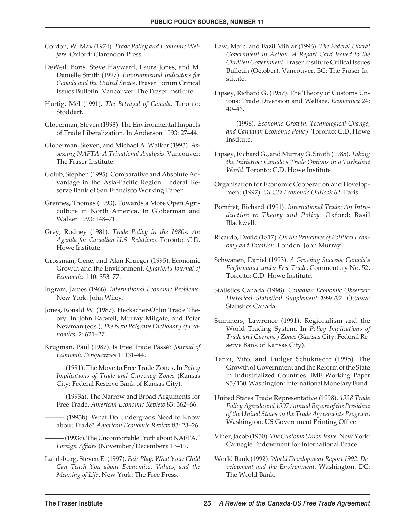- Cordon, W. Max (1974). *Trade Policy and Economic Welfare*. Oxford: Clarendon Press.
- DeWeil, Boris, Steve Hayward, Laura Jones, and M. Danielle Smith (1997). *Environmental Indicators for Canada and the United States*. Fraser Forum Critical Issues Bulletin. Vancouver: The Fraser Institute.
- Hurtig, Mel (1991). *The Betrayal of Canada*. Toronto: Stoddart.
- Globerman, Steven (1993). The Environmental Impacts of Trade Liberalization. In Anderson 1993: 27–44.
- Globerman, Steven, and Michael A. Walker (1993). *Assessing NAFTA: A Trinational Analysis*. Vancouver: The Fraser Institute.
- Golub, Stephen (1995). Comparative and Absolute Advantage in the Asia-Pacific Region. Federal Reserve Bank of San Francisco Working Paper.
- Grennes, Thomas (1993). Towards a More Open Agriculture in North America. In Globerman and Walker 1993: 148–71.
- Grey, Rodney (1981). *Trade Policy in the 1980s: An Agenda for Canadian-U.S. Relations*. Toronto: C.D. Howe Institute.
- Grossman, Gene, and Alan Krueger (1995). Economic Growth and the Environment. *Quarterly Journal of Economics* 110: 353–77.
- Ingram, James (1966). *International Economic Problems*. New York: John Wiley.
- Jones, Ronald W. (1987). Heckscher-Ohlin Trade Theory. In John Eatwell, Murray Milgate, and Peter Newman (eds.), *The New Palgrave Dictionary of Economics*, 2: 621–27.
- Krugman, Paul (1987). Is Free Trade Passé? *Journal of Economic Perspectives* 1: 131–44.
	- ——— (1991). The Move to Free Trade Zones. In *Policy Implications of Trade and Currency Zones* (Kansas City: Federal Reserve Bank of Kansas City).
	- (1993a). The Narrow and Broad Arguments for Free Trade. *American Economic Review* 83: 362–66.
	- (1993b). What Do Undergrads Need to Know about Trade? *American Economic Review* 83: 23–26.
	- -(1993c). The Uncomfortable Truth about NAFTA." *Foreign Affairs* (November/December): 13–19.
- Landsburg, Steven E. (1997). *Fair Play: What Your Child Can Teach You about Economics, Values, and the Meaning of Life*. New York: The Free Press.
- Law, Marc, and Fazil Mihlar (1996). *The Federal Liberal Government in Action: A Report Card Issued to the Chrétien Government*. Fraser Institute Critical Issues Bulletin (October). Vancouver, BC: The Fraser Institute.
- Lipsey, Richard G. (1957). The Theory of Customs Unions: Trade Diversion and Welfare. *Economica* 24: 40–46.
	- ——— (1996). *Economic Growth, Technological Change, and Canadian Economic Policy.* Toronto: C.D. Howe Institute.
- Lipsey, Richard G., and Murray G. Smith (1985). *Taking the Initiative: Canada's Trade Options in a Turbulent World*. Toronto: C.D. Howe Institute.
- Organisation for Economic Cooperation and Development (1997). *OECD Economic Outlook 62*. Paris.
- Pomfret, Richard (1991). *International Trade: An Introduction to Theory and Policy*. Oxford: Basil Blackwell.
- Ricardo, David (1817). *On the Principles of Political Economy and Taxation*. London: John Murray.
- Schwanen, Daniel (1993). *A Growing Success: Canada's Performance under Free Trade*. Commentary No. 52. Toronto: C.D. Howe Institute.
- Statistics Canada (1998). *Canadian Economic Observer: Historical Statistical Supplement 1996/97*. Ottawa: Statistics Canada.
- Summers, Lawrence (1991). Regionalism and the World Trading System. In *Policy Implications of Trade and Currency Zones* (Kansas City: Federal Reserve Bank of Kansas City).
- Tanzi, Vito, and Ludger Schuknecht (1995). The Growth of Government and the Reform of the State in Industrialized Countries. IMF Working Paper 95/130. Washington: International Monetary Fund.
- United States Trade Representative (1998). *1998 Trade Policy Agenda and 1997 Annual Report of the President of the United States on the Trade Agreements Program*. Washington: US Government Printing Office.
- Viner, Jacob (1950).*The Customs Union Issue*. New York: Carnegie Endowment for International Peace.
- World Bank (1992). *World Development Report 1992: Development and the Environment*. Washington, DC: The World Bank.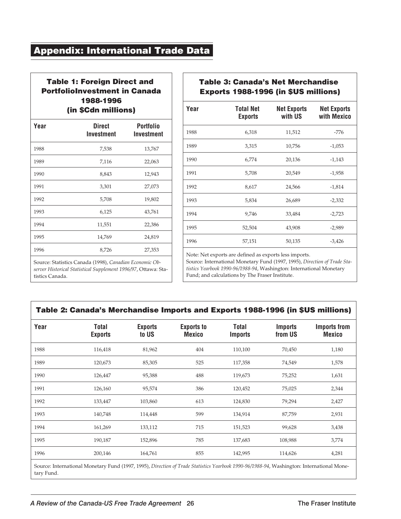#### **Appendix: International Trade Data**

#### **Table 1: Foreign Direct and PortfolioInvestment in Canada 1988-1996 (in \$Cdn millions)**

| Year | <b>Direct</b><br>Investment | Portfolio<br>Investment |
|------|-----------------------------|-------------------------|
| 1988 | 7,538                       | 13,767                  |
| 1989 | 7,116                       | 22,063                  |
| 1990 | 8,843                       | 12,943                  |
| 1991 | 3,301                       | 27,073                  |
| 1992 | 5,708                       | 19,802                  |
| 1993 | 6,125                       | 43,761                  |
| 1994 | 11,551                      | 22,386                  |
| 1995 | 14,769                      | 24,819                  |
| 1996 | 8,726                       | 27,353                  |

*server Historical Statistical Supplement 1996/97*, Ottawa: Sta-

tistics Canada.

**Table 3: Canada's Net Merchandise Exports 1988-1996 (in \$US millions)**

| Year | Total Net<br><b>Exports</b> | <b>Net Exports</b><br>with US | <b>Net Exports</b><br>with Mexico |
|------|-----------------------------|-------------------------------|-----------------------------------|
| 1988 | 6,318                       | 11,512                        | $-776$                            |
| 1989 | 3,315                       | 10,756                        | $-1,053$                          |
| 1990 | 6,774                       | 20,136                        | $-1,143$                          |
| 1991 | 5,708                       | 20,549                        | $-1,958$                          |
| 1992 | 8,617                       | 24,566                        | $-1,814$                          |
| 1993 | 5,834                       | 26,689                        | $-2,332$                          |
| 1994 | 9,746                       | 33,484                        | $-2,723$                          |
| 1995 | 52,504                      | 43,908                        | $-2,989$                          |
| 1996 | 57,151                      | 50,135                        | $-3,426$                          |

Note: Net exports are defined as exports less imports.

Source: International Monetary Fund (1997, 1995), *Direction of Trade Statistics Yearbook 1990-96/1988-94*, Washington: International Monetary Fund; and calculations by The Fraser Institute.

#### **Table 2: Canada's Merchandise Imports and Exports 1988-1996 (in \$US millions)**

| Year | <b>Total</b><br><b>Exports</b> | <b>Exports</b><br>to US | <b>Exports to</b><br><b>Mexico</b> | <b>Total</b><br><b>Imports</b> | <b>Imports</b><br>from US | <b>Imports from</b><br><b>Mexico</b> |
|------|--------------------------------|-------------------------|------------------------------------|--------------------------------|---------------------------|--------------------------------------|
| 1988 | 116,418                        | 81,962                  | 404                                | 110,100                        | 70,450                    | 1,180                                |
| 1989 | 120,673                        | 85,305                  | 525                                | 117,358                        | 74,549                    | 1,578                                |
| 1990 | 126,447                        | 95,388                  | 488                                | 119,673                        | 75,252                    | 1,631                                |
| 1991 | 126,160                        | 95,574                  | 386                                | 120,452                        | 75,025                    | 2,344                                |
| 1992 | 133,447                        | 103,860                 | 613                                | 124,830                        | 79,294                    | 2,427                                |
| 1993 | 140,748                        | 114,448                 | 599                                | 134,914                        | 87,759                    | 2,931                                |
| 1994 | 161,269                        | 133,112                 | 715                                | 151,523                        | 99,628                    | 3,438                                |
| 1995 | 190,187                        | 152,896                 | 785                                | 137,683                        | 108,988                   | 3,774                                |
| 1996 | 200,146                        | 164,761                 | 855                                | 142,995                        | 114,626                   | 4,281                                |
|      |                                |                         |                                    |                                |                           |                                      |

Source: International Monetary Fund (1997, 1995), *Direction of Trade Statistics Yearbook 1990-96/1988-94*, Washington: International Monetary Fund.